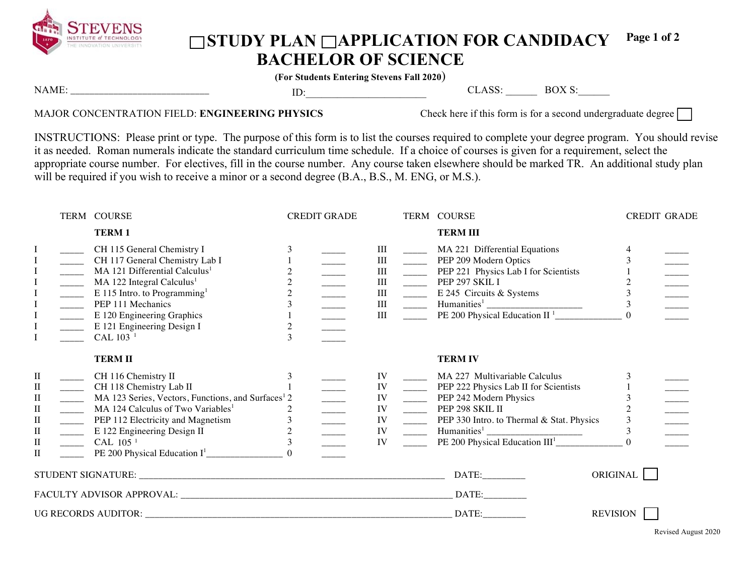

## ◯STUDY PLAN ◯APPLICATION FOR CANDIDACY **BACHELOR OF SCIENCE Page 1 of 2**

**(For Students Entering Stevens Fall 2020**)

| N<br>11/1 F | . . |  | к۱ |  |
|-------------|-----|--|----|--|
|             |     |  |    |  |

## MAJOR CONCENTRATION FIELD: **ENGINEERING PHYSICS** Check here if this form is for a second undergraduate degree

INSTRUCTIONS: Please print or type. The purpose of this form is to list the courses required to complete your degree program. You should revise it as needed. Roman numerals indicate the standard curriculum time schedule. If a choice of courses is given for a requirement, select the appropriate course number. For electives, fill in the course number. Any course taken elsewhere should be marked TR. An additional study plan will be required if you wish to receive a minor or a second degree (B.A., B.S., M. ENG, or M.S.).

|                                                                                                       |                                                                                                                                                                                                                                                                                                                                                                                                                                                                                                                                                                                                                                                                                                                                                                              | TERM COURSE                                                                                                                                                                                                                                                                                             | <b>CREDIT GRADE</b>                   |                                           |                                                                                                                                                                                                                                                                                                                                                                                                                                                                          | TERM COURSE                                                                                                                                                              | <b>CREDIT GRADE</b> |  |
|-------------------------------------------------------------------------------------------------------|------------------------------------------------------------------------------------------------------------------------------------------------------------------------------------------------------------------------------------------------------------------------------------------------------------------------------------------------------------------------------------------------------------------------------------------------------------------------------------------------------------------------------------------------------------------------------------------------------------------------------------------------------------------------------------------------------------------------------------------------------------------------------|---------------------------------------------------------------------------------------------------------------------------------------------------------------------------------------------------------------------------------------------------------------------------------------------------------|---------------------------------------|-------------------------------------------|--------------------------------------------------------------------------------------------------------------------------------------------------------------------------------------------------------------------------------------------------------------------------------------------------------------------------------------------------------------------------------------------------------------------------------------------------------------------------|--------------------------------------------------------------------------------------------------------------------------------------------------------------------------|---------------------|--|
|                                                                                                       |                                                                                                                                                                                                                                                                                                                                                                                                                                                                                                                                                                                                                                                                                                                                                                              | <b>TERM1</b>                                                                                                                                                                                                                                                                                            |                                       |                                           |                                                                                                                                                                                                                                                                                                                                                                                                                                                                          | <b>TERM III</b>                                                                                                                                                          |                     |  |
| $\mathbf I$<br>I<br>$\bf I$<br>$\bf{I}$<br>$\bf I$<br>$\bf I$                                         | $\begin{tabular}{ c c c } \hline \quad \quad & \quad \quad & \quad \quad \\ \hline \quad \quad & \quad \quad & \quad \quad \\ \hline \quad \quad & \quad \quad & \quad \quad \\ \hline \quad \quad & \quad \quad & \quad \quad \\ \hline \quad \quad & \quad \quad & \quad \quad \\ \hline \quad \quad & \quad \quad & \quad \quad \\ \hline \quad \quad & \quad \quad & \quad \quad \\ \hline \end{tabular}$<br>$\begin{tabular}{ c c c } \hline \quad \quad & \quad \quad & \quad \quad \\ \hline \quad \quad & \quad \quad & \quad \quad \\ \hline \quad \quad & \quad \quad & \quad \quad \\ \hline \quad \quad & \quad \quad & \quad \quad \\ \hline \quad \quad & \quad \quad & \quad \quad \\ \hline \quad \quad & \quad \quad & \quad \quad \\ \hline \end{tabular}$ | CH 115 General Chemistry I<br>CH 117 General Chemistry Lab I<br>MA 121 Differential Calculus <sup>1</sup><br>MA 122 Integral Calculus <sup>1</sup><br>E 115 Intro. to Programming <sup>1</sup><br>PEP 111 Mechanics<br>E 120 Engineering Graphics<br>E 121 Engineering Design I<br>CAL 103 <sup>1</sup> | $\overline{c}$<br>$\overline{c}$<br>3 | Ш<br>III<br>III<br>III<br>III<br>Ш<br>III | $\frac{1}{2}$<br>$\frac{1}{2}$                                                                                                                                                                                                                                                                                                                                                                                                                                           | _______ MA 221 Differential Equations<br>PEP 209 Modern Optics<br>PEP 221 Physics Lab I for Scientists<br>$PEP$ 297 SKIL I<br>E 245 Circuits & Systems                   | 3<br>$\Omega$       |  |
|                                                                                                       |                                                                                                                                                                                                                                                                                                                                                                                                                                                                                                                                                                                                                                                                                                                                                                              | <b>TERMII</b>                                                                                                                                                                                                                                                                                           |                                       |                                           |                                                                                                                                                                                                                                                                                                                                                                                                                                                                          | <b>TERM IV</b>                                                                                                                                                           |                     |  |
| $\mathbf{I}$<br>П<br>$\rm _{II}$<br>$\mathbf{I}$<br>$\mathbf{I}$<br>$\rm II$<br>$\rm II$<br>$\rm{II}$ | $\mathcal{L}(\mathcal{L})$<br>$\frac{1}{1}$<br>$\overline{\phantom{a}}$<br>$\overline{\phantom{a}}$<br>$\frac{1}{2}$                                                                                                                                                                                                                                                                                                                                                                                                                                                                                                                                                                                                                                                         | CH 116 Chemistry II<br>CH 118 Chemistry Lab II<br>MA 123 Series, Vectors, Functions, and Surfaces <sup>1</sup> 2<br>MA 124 Calculus of Two Variables <sup>1</sup><br>PEP 112 Electricity and Magnetism<br>E 122 Engineering Design II<br>CAL 105 <sup>1</sup>                                           | 2<br>$\mathfrak{Z}$                   | IV<br>IV<br>IV<br>IV<br>IV<br>IV<br>IV    | $\frac{1}{2}$<br>$\frac{1}{1}$<br>$\frac{1}{2}$<br>$\frac{1}{1-\frac{1}{1-\frac{1}{1-\frac{1}{1-\frac{1}{1-\frac{1}{1-\frac{1}{1-\frac{1}{1-\frac{1}{1-\frac{1}{1-\frac{1}{1-\frac{1}{1-\frac{1}{1-\frac{1}{1-\frac{1}{1-\frac{1}{1-\frac{1}{1-\frac{1}{1-\frac{1}{1-\frac{1}{1-\frac{1}{1-\frac{1}{1-\frac{1}{1-\frac{1}{1-\frac{1}{1-\frac{1}{1-\frac{1}{1-\frac{1}{1-\frac{1}{1-\frac{1}{1-\frac{1}{1-\frac{1}{1-\frac{1}{1-\frac{1}{1-\frac{1}{1-\frac{1}{1-\frac{1$ | MA 227 Multivariable Calculus<br>PEP 222 Physics Lab II for Scientists<br>PEP 242 Modern Physics<br>PEP 298 SKIL II<br>_______ PEP 330 Intro. to Thermal & Stat. Physics | 3<br>3              |  |
|                                                                                                       |                                                                                                                                                                                                                                                                                                                                                                                                                                                                                                                                                                                                                                                                                                                                                                              |                                                                                                                                                                                                                                                                                                         |                                       |                                           |                                                                                                                                                                                                                                                                                                                                                                                                                                                                          | DATE:                                                                                                                                                                    | ORIGINAL            |  |
|                                                                                                       |                                                                                                                                                                                                                                                                                                                                                                                                                                                                                                                                                                                                                                                                                                                                                                              |                                                                                                                                                                                                                                                                                                         |                                       |                                           |                                                                                                                                                                                                                                                                                                                                                                                                                                                                          | DATE:                                                                                                                                                                    |                     |  |
|                                                                                                       |                                                                                                                                                                                                                                                                                                                                                                                                                                                                                                                                                                                                                                                                                                                                                                              |                                                                                                                                                                                                                                                                                                         |                                       |                                           |                                                                                                                                                                                                                                                                                                                                                                                                                                                                          | DATA:                                                                                                                                                                    | <b>REVISION</b>     |  |